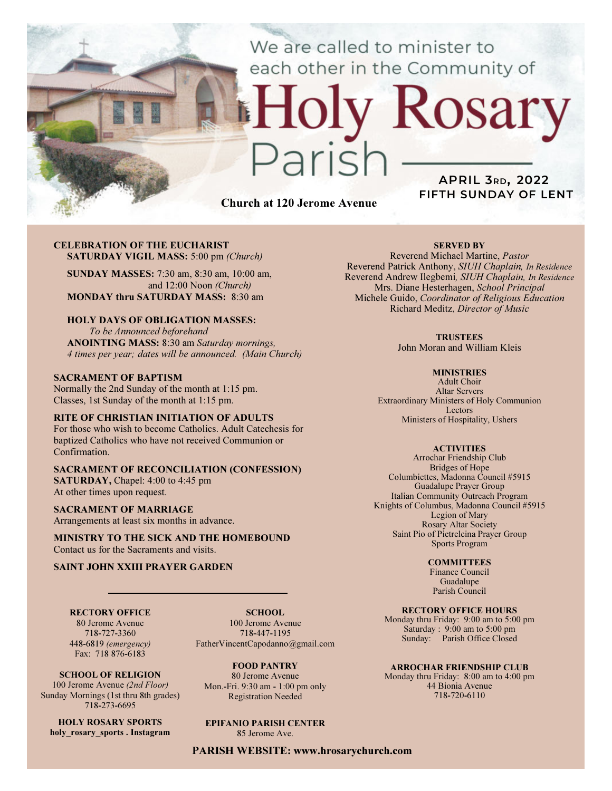We are called to minister to each other in the Community of

# Rosary ark

Church at 120 Jerome Avenue

# APRIL 3RD, 2022 FIFTH SUNDAY OF LENT

#### CELEBRATION OF THE EUCHARIST SATURDAY VIGIL MASS: 5:00 pm (Church)

SUNDAY MASSES: 7:30 am, 8:30 am, 10:00 am, and 12:00 Noon (Church) MONDAY thru SATURDAY MASS: 8:30 am

### HOLY DAYS OF OBLIGATION MASSES:

To be Announced beforehand ANOINTING MASS: 8:30 am Saturday mornings, 4 times per year; dates will be announced. (Main Church)

#### SACRAMENT OF BAPTISM

Normally the 2nd Sunday of the month at 1:15 pm. Classes, 1st Sunday of the month at 1:15 pm.

#### RITE OF CHRISTIAN INITIATION OF ADULTS

For those who wish to become Catholics. Adult Catechesis for baptized Catholics who have not received Communion or Confirmation.

#### SACRAMENT OF RECONCILIATION (CONFESSION) SATURDAY, Chapel: 4:00 to 4:45 pm At other times upon request.

SACRAMENT OF MARRIAGE Arrangements at least six months in advance.

MINISTRY TO THE SICK AND THE HOMEBOUND Contact us for the Sacraments and visits.

#### SAINT JOHN XXIII PRAYER GARDEN

RECTORY OFFICE 80 Jerome Avenue 718-727-3360

448-6819 (emergency)

SCHOOL. 100 Jerome Avenue 718-447-1195 FatherVincentCapodanno@gmail.com

Fax: 718 876-6183 SCHOOL OF RELIGION 100 Jerome Avenue (2nd Floor)

Sunday Mornings (1st thru 8th grades) 718-273-6695

HOLY ROSARY SPORTS holy rosary sports . Instagram

FOOD PANTRY 80 Jerome Avenue Mon.-Fri. 9:30 am - 1:00 pm only Registration Needed

# EPIFANIO PARISH CENTER

85 Jerome Ave.

PARISH WEBSITE: www.hrosarychurch.com

#### SERVED BY

Reverend Michael Martine, Pastor Reverend Patrick Anthony, SIUH Chaplain, In Residence Reverend Andrew Ilegbemi, SIUH Chaplain, In Residence Mrs. Diane Hesterhagen, School Principal Michele Guido, Coordinator of Religious Education Richard Meditz, Director of Music

#### **TRUSTEES**

John Moran and William Kleis

#### **MINISTRIES**

Adult Choir Altar Servers Extraordinary Ministers of Holy Communion Lectors Ministers of Hospitality, Ushers

#### **ACTIVITIES**

Arrochar Friendship Club Bridges of Hope Columbiettes, Madonna Council #5915 Guadalupe Prayer Group Italian Community Outreach Program Knights of Columbus, Madonna Council #5915 Legion of Mary Rosary Altar Society Saint Pio of Pietrelcina Prayer Group Sports Program

#### **COMMITTEES**

Finance Council Guadalupe Parish Council

#### RECTORY OFFICE HOURS

Monday thru Friday: 9:00 am to 5:00 pm Saturday : 9:00 am to 5:00 pm Sunday: Parish Office Closed

#### ARROCHAR FRIENDSHIP CLUB

Monday thru Friday: 8:00 am to 4:00 pm 44 Bionia Avenue 718-720-6110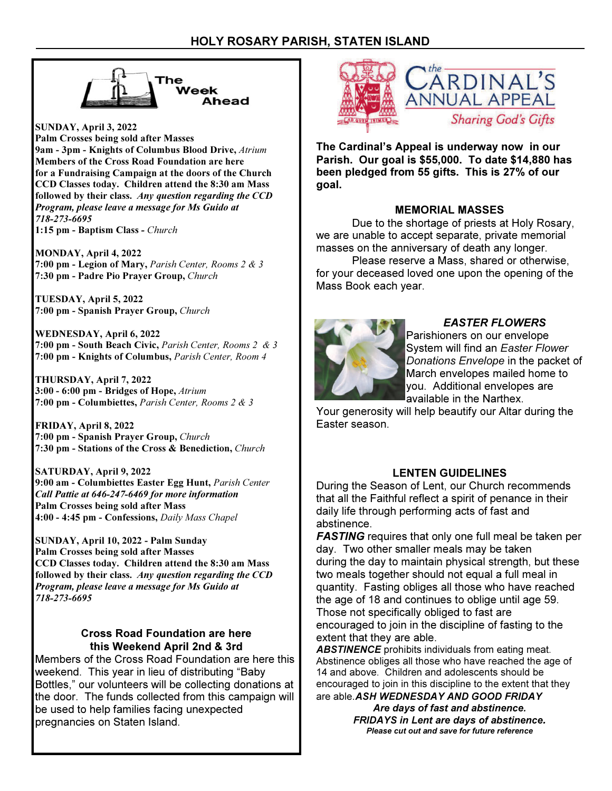

SUNDAY, April 3, 2022 Palm Crosses being sold after Masses 9am - 3pm - Knights of Columbus Blood Drive, Atrium Members of the Cross Road Foundation are here for a Fundraising Campaign at the doors of the Church CCD Classes today. Children attend the 8:30 am Mass followed by their class. Any question regarding the CCD Program, please leave a message for Ms Guido at 718-273-6695 1:15 pm - Baptism Class - Church

MONDAY, April 4, 2022 7:00 pm - Legion of Mary, Parish Center, Rooms 2 & 3 7:30 pm - Padre Pio Prayer Group, Church

TUESDAY, April 5, 2022 7:00 pm - Spanish Prayer Group, Church

WEDNESDAY, April 6, 2022 7:00 pm - South Beach Civic, Parish Center, Rooms 2 & 3 7:00 pm - Knights of Columbus, Parish Center, Room 4

THURSDAY, April 7, 2022 3:00 - 6:00 pm - Bridges of Hope, Atrium 7:00 pm - Columbiettes, Parish Center, Rooms 2 & 3

FRIDAY, April 8, 2022 7:00 pm - Spanish Prayer Group, Church 7:30 pm - Stations of the Cross & Benediction, Church

SATURDAY, April 9, 2022 9:00 am - Columbiettes Easter Egg Hunt, Parish Center Call Pattie at 646-247-6469 for more information Palm Crosses being sold after Mass 4:00 - 4:45 pm - Confessions, Daily Mass Chapel

SUNDAY, April 10, 2022 - Palm Sunday Palm Crosses being sold after Masses CCD Classes today. Children attend the 8:30 am Mass followed by their class. Any question regarding the CCD Program, please leave a message for Ms Guido at 718-273-6695

# Cross Road Foundation are here this Weekend April 2nd & 3rd

Members of the Cross Road Foundation are here this weekend. This year in lieu of distributing "Baby Bottles," our volunteers will be collecting donations at the door. The funds collected from this campaign will be used to help families facing unexpected pregnancies on Staten Island.



The Cardinal's Appeal is underway now in our Parish. Our goal is \$55,000. To date \$14,880 has been pledged from 55 gifts. This is 27% of our goal.

# MEMORIAL MASSES

 Due to the shortage of priests at Holy Rosary, we are unable to accept separate, private memorial masses on the anniversary of death any longer.

 Please reserve a Mass, shared or otherwise, for your deceased loved one upon the opening of the Mass Book each year.



# EASTER FLOWERS

Parishioners on our envelope System will find an Easter Flower Donations Envelope in the packet of March envelopes mailed home to you. Additional envelopes are available in the Narthex.

Your generosity will help beautify our Altar during the Easter season.

# LENTEN GUIDELINES

During the Season of Lent, our Church recommends that all the Faithful reflect a spirit of penance in their daily life through performing acts of fast and abstinence.

**FASTING** requires that only one full meal be taken per day. Two other smaller meals may be taken during the day to maintain physical strength, but these two meals together should not equal a full meal in quantity. Fasting obliges all those who have reached the age of 18 and continues to oblige until age 59. Those not specifically obliged to fast are encouraged to join in the discipline of fasting to the extent that they are able.

**ABSTINENCE** prohibits individuals from eating meat. Abstinence obliges all those who have reached the age of 14 and above. Children and adolescents should be encouraged to join in this discipline to the extent that they are able. ASH WEDNESDAY AND GOOD FRIDAY

> Are days of fast and abstinence. FRIDAYS in Lent are days of abstinence. Please cut out and save for future reference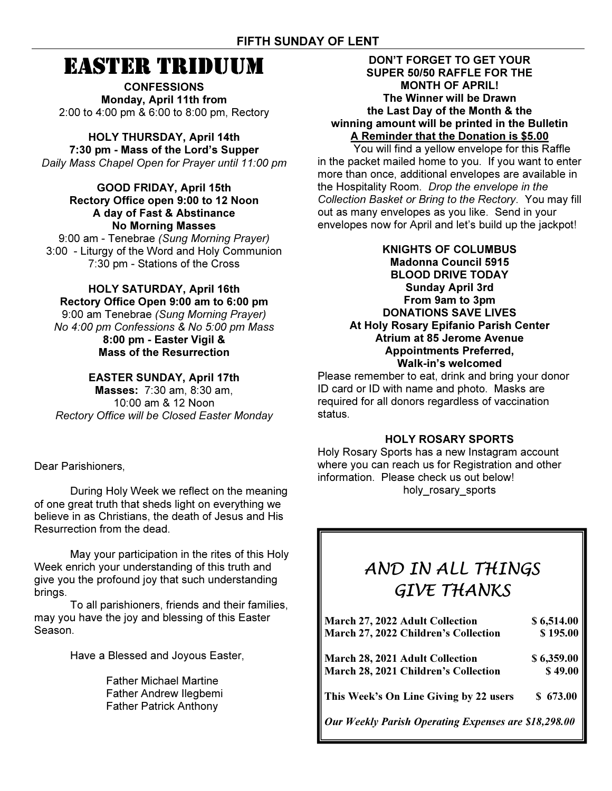# EASTER TRIDUUM

**CONFESSIONS** Monday, April 11th from 2:00 to 4:00 pm & 6:00 to 8:00 pm, Rectory

HOLY THURSDAY, April 14th 7:30 pm - Mass of the Lord's Supper Daily Mass Chapel Open for Prayer until 11:00 pm

GOOD FRIDAY, April 15th Rectory Office open 9:00 to 12 Noon A day of Fast & Abstinance No Morning Masses

9:00 am - Tenebrae (Sung Morning Prayer) 3:00 - Liturgy of the Word and Holy Communion 7:30 pm - Stations of the Cross

# HOLY SATURDAY, April 16th Rectory Office Open 9:00 am to 6:00 pm 9:00 am Tenebrae (Sung Morning Prayer)

No 4:00 pm Confessions & No 5:00 pm Mass 8:00 pm - Easter Vigil & Mass of the Resurrection

# EASTER SUNDAY, April 17th

Masses: 7:30 am, 8:30 am, 10:00 am & 12 Noon Rectory Office will be Closed Easter Monday

Dear Parishioners,

 During Holy Week we reflect on the meaning of one great truth that sheds light on everything we believe in as Christians, the death of Jesus and His Resurrection from the dead.

 May your participation in the rites of this Holy Week enrich your understanding of this truth and give you the profound joy that such understanding brings.

 To all parishioners, friends and their families, may you have the joy and blessing of this Easter Season.

Have a Blessed and Joyous Easter,

 Father Michael Martine Father Andrew Ilegbemi Father Patrick Anthony

# DON'T FORGET TO GET YOUR SUPER 50/50 RAFFLE FOR THE MONTH OF APRIL! The Winner will be Drawn the Last Day of the Month & the winning amount will be printed in the Bulletin A Reminder that the Donation is \$5.00

 You will find a yellow envelope for this Raffle in the packet mailed home to you. If you want to enter more than once, additional envelopes are available in the Hospitality Room. Drop the envelope in the Collection Basket or Bring to the Rectory. You may fill out as many envelopes as you like. Send in your envelopes now for April and let's build up the jackpot!

# KNIGHTS OF COLUMBUS Madonna Council 5915 BLOOD DRIVE TODAY Sunday April 3rd From 9am to 3pm DONATIONS SAVE LIVES At Holy Rosary Epifanio Parish Center Atrium at 85 Jerome Avenue Appointments Preferred, Walk-in's welcomed

Please remember to eat, drink and bring your donor ID card or ID with name and photo. Masks are required for all donors regardless of vaccination status.

# HOLY ROSARY SPORTS

Holy Rosary Sports has a new Instagram account where you can reach us for Registration and other information. Please check us out below! holy rosary sports

# AND IN ALL THINGS GIVE THANKS

| March 27, 2022 Adult Collection                      | \$6,514.00 |
|------------------------------------------------------|------------|
| March 27, 2022 Children's Collection                 | \$195.00   |
| <b>March 28, 2021 Adult Collection</b>               | \$6,359.00 |
| <b>March 28, 2021 Children's Collection</b>          | \$49.00    |
| This Week's On Line Giving by 22 users               | \$673.00   |
| Our Weekly Parish Operating Expenses are \$18,298.00 |            |